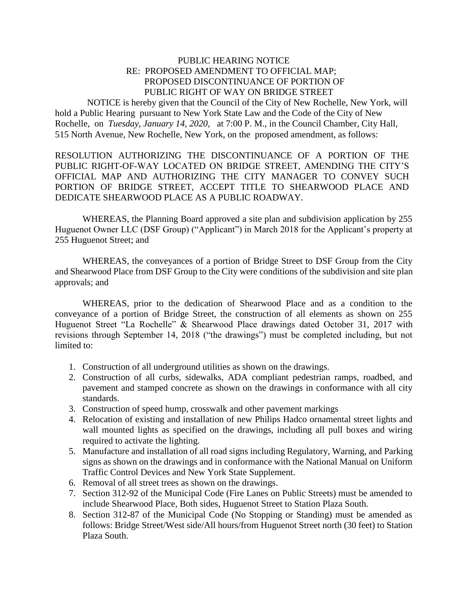## PUBLIC HEARING NOTICE RE: PROPOSED AMENDMENT TO OFFICIAL MAP; PROPOSED DISCONTINUANCE OF PORTION OF PUBLIC RIGHT OF WAY ON BRIDGE STREET

 NOTICE is hereby given that the Council of the City of New Rochelle, New York, will hold a Public Hearing pursuant to New York State Law and the Code of the City of New Rochelle, on *Tuesday, January 14, 2020*, at 7:00 P. M., in the Council Chamber, City Hall, 515 North Avenue, New Rochelle, New York, on the proposed amendment, as follows:

RESOLUTION AUTHORIZING THE DISCONTINUANCE OF A PORTION OF THE PUBLIC RIGHT-OF-WAY LOCATED ON BRIDGE STREET, AMENDING THE CITY'S OFFICIAL MAP AND AUTHORIZING THE CITY MANAGER TO CONVEY SUCH PORTION OF BRIDGE STREET, ACCEPT TITLE TO SHEARWOOD PLACE AND DEDICATE SHEARWOOD PLACE AS A PUBLIC ROADWAY.

WHEREAS, the Planning Board approved a site plan and subdivision application by 255 Huguenot Owner LLC (DSF Group) ("Applicant") in March 2018 for the Applicant's property at 255 Huguenot Street; and

WHEREAS, the conveyances of a portion of Bridge Street to DSF Group from the City and Shearwood Place from DSF Group to the City were conditions of the subdivision and site plan approvals; and

WHEREAS, prior to the dedication of Shearwood Place and as a condition to the conveyance of a portion of Bridge Street, the construction of all elements as shown on 255 Huguenot Street "La Rochelle" & Shearwood Place drawings dated October 31, 2017 with revisions through September 14, 2018 ("the drawings") must be completed including, but not limited to:

- 1. Construction of all underground utilities as shown on the drawings.
- 2. Construction of all curbs, sidewalks, ADA compliant pedestrian ramps, roadbed, and pavement and stamped concrete as shown on the drawings in conformance with all city standards.
- 3. Construction of speed hump, crosswalk and other pavement markings
- 4. Relocation of existing and installation of new Philips Hadco ornamental street lights and wall mounted lights as specified on the drawings, including all pull boxes and wiring required to activate the lighting.
- 5. Manufacture and installation of all road signs including Regulatory, Warning, and Parking signs as shown on the drawings and in conformance with the National Manual on Uniform Traffic Control Devices and New York State Supplement.
- 6. Removal of all street trees as shown on the drawings.
- 7. Section 312-92 of the Municipal Code (Fire Lanes on Public Streets) must be amended to include Shearwood Place, Both sides, Huguenot Street to Station Plaza South.
- 8. Section 312-87 of the Municipal Code (No Stopping or Standing) must be amended as follows: Bridge Street/West side/All hours/from Huguenot Street north (30 feet) to Station Plaza South.